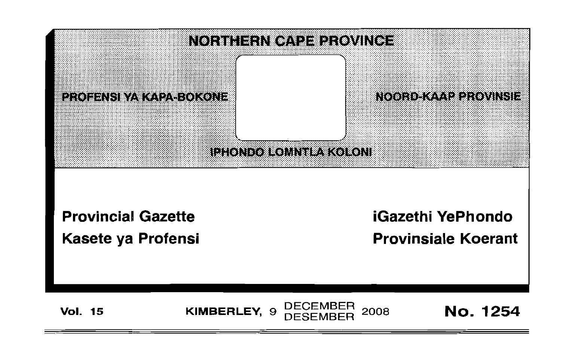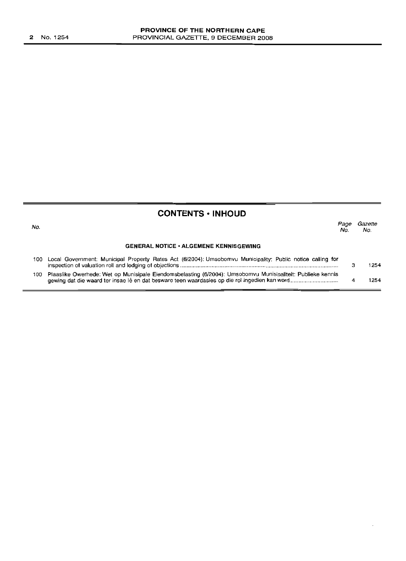# **CONTENTS -INHOUD**

| No. |                                                                                                                 | Page<br>No. | Gazette<br>No. |
|-----|-----------------------------------------------------------------------------------------------------------------|-------------|----------------|
|     | <b>GENERAL NOTICE · ALGEMENE KENNISGEWING</b>                                                                   |             |                |
|     | 100 Local Government: Municipal Property Rates Act (6/2004); Umsobomvu Municipality; Public notice calling for  |             | 1254           |
|     | 100 Plaaslike Owerhede: Wet op Munisipale Eiendomsbelasting (6/2004): Umsobomvu Munisipaliteit: Publieke kennis |             | 254            |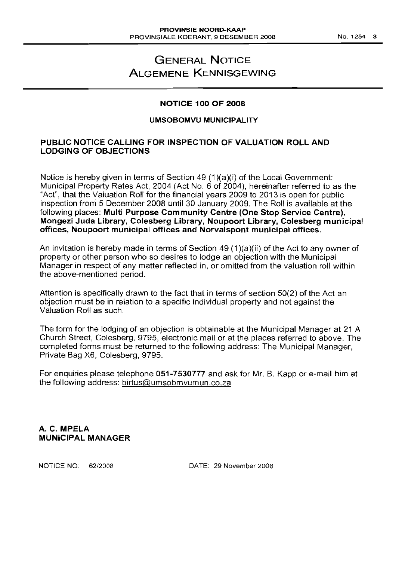# **GENERAL NOTICE ALGEMENE KENNISGEWING**

## **NOTICE 100 OF 2008**

### **UMSOBOMVU MUNICIPALITY**

# **PUBLIC NOTICE CALLING FOR INSPECTION OF VALUATION ROLL AND LODGING OF OBJECTIONS**

Notice is hereby given in terms of Section 49 (1)(a)(i) of the Local Government: Municipal Property Rates Act, 2004 (Act NO.6 of 2004), hereinafter referred to as the "Act", that the Valuation Roll for the financial years 2009 to 2013 is open for public inspection from 5 December 2008 until 30 January 2009. The Roll is available at the following places: **Multi Purpose Community Centre (One Stop Service Centre), Mongezi Juda Library, Colesberg Library, Noupoort Library, Colesberg municipal offices, Noupoort municipal offices and Norvalspont municipal offices.**

An invitation is hereby made in terms of Section 49 (1)(a)(ii) of the Act to any owner of property or other person who so desires to lodge an objection with the Municipal Manager in respect of any matter reflected in, or omitted from the valuation roll within the above-mentioned period.

Attention is specifically drawn to the fact that in terms of section 50(2) of the Act an objection must be in relation to a specific individual property and not against the Valuation Roll as such.

The form for the lodging of an objection is obtainable at the Municipal Manager at 21 A Church Street, Colesberg, 9795, electronic mail or at the places referred to above. The completed forms must be returned to the following address: The Municipal Manager, Private Bag X6, Colesberg, 9795.

For enquiries please telephone **051-7530777** and ask for Mr. B. Kapp or e-mail him at the following address: birtus@umsobmvumun.co.za

A. C. **MPELA MUNICIPAL MANAGER**

NOTICE NO: 62/2008 DATE: 29 November 2008